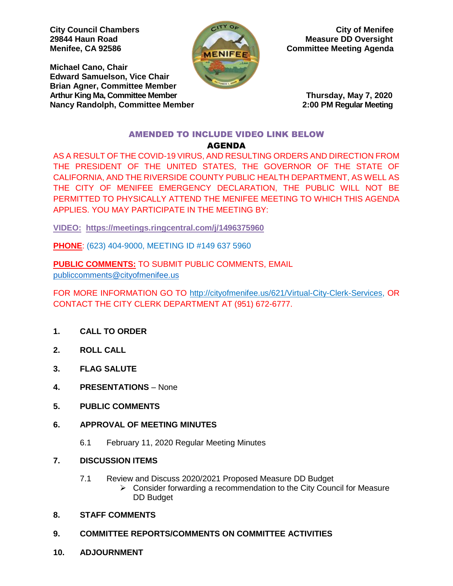**Michael Cano, Chair Edward Samuelson, Vice Chair Brian Agner, Committee Member** Arthur King Ma, Committee Member **Thursday, May 7, 2020 Nancy Randolph, Committee Member 2:00 PM Regular Meeting**



**City Council Chambers City of Menifee 29844 Haun Road Measure DD Oversight Menifee, CA 92586 Committee Meeting Agenda** 

# AMENDED TO INCLUDE VIDEO LINK BELOW

# AGENDA

AS A RESULT OF THE COVID-19 VIRUS, AND RESULTING ORDERS AND DIRECTION FROM THE PRESIDENT OF THE UNITED STATES, THE GOVERNOR OF THE STATE OF CALIFORNIA, AND THE RIVERSIDE COUNTY PUBLIC HEALTH DEPARTMENT, AS WELL AS THE CITY OF MENIFEE EMERGENCY DECLARATION, THE PUBLIC WILL NOT BE PERMITTED TO PHYSICALLY ATTEND THE MENIFEE MEETING TO WHICH THIS AGENDA APPLIES. YOU MAY PARTICIPATE IN THE MEETING BY:

**VIDEO: <https://meetings.ringcentral.com/j/1496375960>**

**PHONE**: (623) 404-9000, MEETING ID #149 637 5960

**PUBLIC COMMENTS:** TO SUBMIT PUBLIC COMMENTS, EMAIL [publiccomments@cityofmenifee.us](mailto:publiccomments@cityofmenifee.us)

FOR MORE INFORMATION GO TO [http://cityofmenifee.us/621/Virtual-City-Clerk-Services,](http://cityofmenifee.us/621/Virtual-City-Clerk-Services) OR CONTACT THE CITY CLERK DEPARTMENT AT (951) 672-6777.

- **1. CALL TO ORDER**
- **2. ROLL CALL**
- **3. FLAG SALUTE**
- **4. PRESENTATIONS**  None
- **5. PUBLIC COMMENTS**
- **6. APPROVAL OF MEETING MINUTES**
	- 6.1 February 11, 2020 Regular Meeting Minutes
- **7. DISCUSSION ITEMS**
	- 7.1 Review and Discuss 2020/2021 Proposed Measure DD Budget
		- $\triangleright$  Consider forwarding a recommendation to the City Council for Measure DD Budget
- **8. STAFF COMMENTS**
- **9. COMMITTEE REPORTS/COMMENTS ON COMMITTEE ACTIVITIES**
- **10. ADJOURNMENT**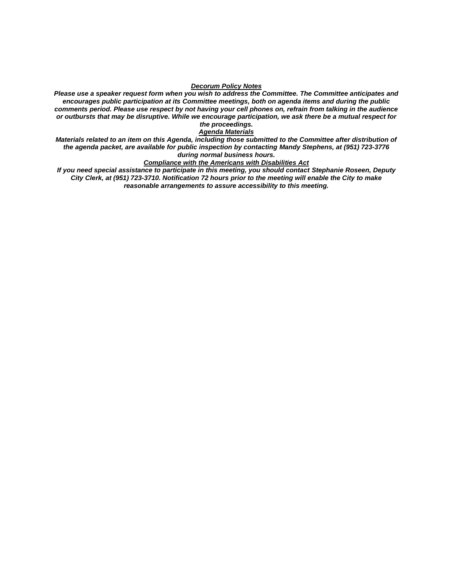#### *Decorum Policy Notes*

*Please use a speaker request form when you wish to address the Committee. The Committee anticipates and encourages public participation at its Committee meetings, both on agenda items and during the public comments period. Please use respect by not having your cell phones on, refrain from talking in the audience or outbursts that may be disruptive. While we encourage participation, we ask there be a mutual respect for the proceedings.*

#### *Agenda Materials*

*Materials related to an item on this Agenda, including those submitted to the Committee after distribution of the agenda packet, are available for public inspection by contacting Mandy Stephens, at (951) 723-3776 during normal business hours.* 

#### *Compliance with the Americans with Disabilities Act*

*If you need special assistance to participate in this meeting, you should contact Stephanie Roseen, Deputy City Clerk, at (951) 723-3710. Notification 72 hours prior to the meeting will enable the City to make reasonable arrangements to assure accessibility to this meeting.*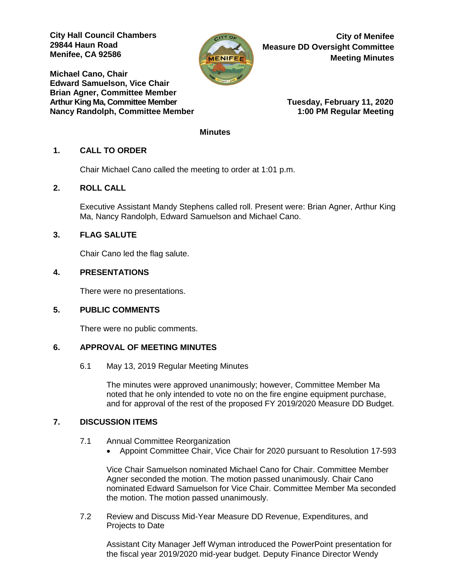**City Hall Council Chambers 29844 Haun Road Menifee, CA 92586** 

**Michael Cano, Chair Edward Samuelson, Vice Chair Brian Agner, Committee Member** Arthur King Ma, Committee Member **Tuesday, February 11, 2020** Nancy Randolph, Committee Member 1:00 PM Regular Meeting



**City of Menifee Measure DD Oversight Committee Meeting Minutes**

### **Minutes**

# **1. CALL TO ORDER**

Chair Michael Cano called the meeting to order at 1:01 p.m.

# **2. ROLL CALL**

Executive Assistant Mandy Stephens called roll. Present were: Brian Agner, Arthur King Ma, Nancy Randolph, Edward Samuelson and Michael Cano.

## **3. FLAG SALUTE**

Chair Cano led the flag salute.

## **4. PRESENTATIONS**

There were no presentations.

# **5. PUBLIC COMMENTS**

There were no public comments.

## **6. APPROVAL OF MEETING MINUTES**

6.1 May 13, 2019 Regular Meeting Minutes

The minutes were approved unanimously; however, Committee Member Ma noted that he only intended to vote no on the fire engine equipment purchase, and for approval of the rest of the proposed FY 2019/2020 Measure DD Budget.

## **7. DISCUSSION ITEMS**

- 7.1 Annual Committee Reorganization
	- Appoint Committee Chair, Vice Chair for 2020 pursuant to Resolution 17-593

Vice Chair Samuelson nominated Michael Cano for Chair. Committee Member Agner seconded the motion. The motion passed unanimously. Chair Cano nominated Edward Samuelson for Vice Chair. Committee Member Ma seconded the motion. The motion passed unanimously.

7.2 Review and Discuss Mid-Year Measure DD Revenue, Expenditures, and Projects to Date

Assistant City Manager Jeff Wyman introduced the PowerPoint presentation for the fiscal year 2019/2020 mid-year budget. Deputy Finance Director Wendy